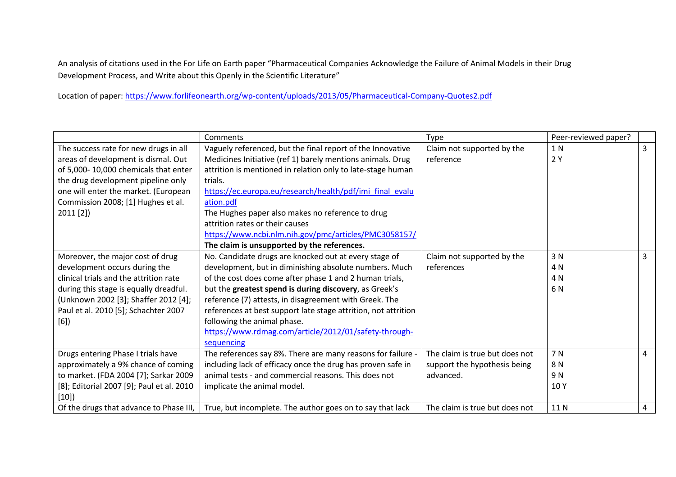An analysis of citations used in the For Life on Earth paper "Pharmaceutical Companies Acknowledge the Failure of Animal Models in their Drug Development Process, and Write about this Openly in the Scientific Literature"

Location of paper: https://www.forlifeonearth.org/wp-content/uploads/2013/05/Pharmaceutical-Company-Quotes2.pdf

|                                           | Comments                                                       | Type                           | Peer-reviewed paper? |                |
|-------------------------------------------|----------------------------------------------------------------|--------------------------------|----------------------|----------------|
| The success rate for new drugs in all     | Vaguely referenced, but the final report of the Innovative     | Claim not supported by the     | 1 N                  | $\overline{3}$ |
| areas of development is dismal. Out       | Medicines Initiative (ref 1) barely mentions animals. Drug     | reference                      | 2Y                   |                |
| of 5,000-10,000 chemicals that enter      | attrition is mentioned in relation only to late-stage human    |                                |                      |                |
| the drug development pipeline only        | trials.                                                        |                                |                      |                |
| one will enter the market. (European      | https://ec.europa.eu/research/health/pdf/imi final evalu       |                                |                      |                |
| Commission 2008; [1] Hughes et al.        | ation.pdf                                                      |                                |                      |                |
| $2011$ [2])                               | The Hughes paper also makes no reference to drug               |                                |                      |                |
|                                           | attrition rates or their causes                                |                                |                      |                |
|                                           | https://www.ncbi.nlm.nih.gov/pmc/articles/PMC3058157/          |                                |                      |                |
|                                           | The claim is unsupported by the references.                    |                                |                      |                |
| Moreover, the major cost of drug          | No. Candidate drugs are knocked out at every stage of          | Claim not supported by the     | 3N                   | 3              |
| development occurs during the             | development, but in diminishing absolute numbers. Much         | references                     | 4 N                  |                |
| clinical trials and the attrition rate    | of the cost does come after phase 1 and 2 human trials,        |                                | 4 N                  |                |
| during this stage is equally dreadful.    | but the greatest spend is during discovery, as Greek's         |                                | 6 N                  |                |
| (Unknown 2002 [3]; Shaffer 2012 [4];      | reference (7) attests, in disagreement with Greek. The         |                                |                      |                |
| Paul et al. 2010 [5]; Schachter 2007      | references at best support late stage attrition, not attrition |                                |                      |                |
| [6]                                       | following the animal phase.                                    |                                |                      |                |
|                                           | https://www.rdmag.com/article/2012/01/safety-through-          |                                |                      |                |
|                                           | sequencing                                                     |                                |                      |                |
| Drugs entering Phase I trials have        | The references say 8%. There are many reasons for failure -    | The claim is true but does not | 7 N                  | 4              |
| approximately a 9% chance of coming       | including lack of efficacy once the drug has proven safe in    | support the hypothesis being   | 8N                   |                |
| to market. (FDA 2004 [7]; Sarkar 2009     | animal tests - and commercial reasons. This does not           | advanced.                      | 9N                   |                |
| [8]; Editorial 2007 [9]; Paul et al. 2010 | implicate the animal model.                                    |                                | 10Y                  |                |
| [10]                                      |                                                                |                                |                      |                |
| Of the drugs that advance to Phase III,   | True, but incomplete. The author goes on to say that lack      | The claim is true but does not | 11N                  | 4              |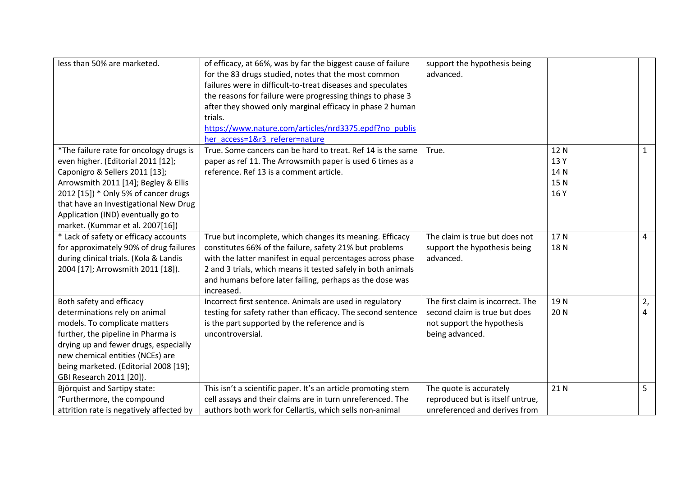| less than 50% are marketed.              | of efficacy, at 66%, was by far the biggest cause of failure  | support the hypothesis being      |      |                |
|------------------------------------------|---------------------------------------------------------------|-----------------------------------|------|----------------|
|                                          | for the 83 drugs studied, notes that the most common          | advanced.                         |      |                |
|                                          | failures were in difficult-to-treat diseases and speculates   |                                   |      |                |
|                                          | the reasons for failure were progressing things to phase 3    |                                   |      |                |
|                                          | after they showed only marginal efficacy in phase 2 human     |                                   |      |                |
|                                          | trials.                                                       |                                   |      |                |
|                                          | https://www.nature.com/articles/nrd3375.epdf?no publis        |                                   |      |                |
|                                          | her access=1&r3 referer=nature                                |                                   |      |                |
| *The failure rate for oncology drugs is  | True. Some cancers can be hard to treat. Ref 14 is the same   | True.                             | 12N  | $\mathbf{1}$   |
| even higher. (Editorial 2011 [12];       | paper as ref 11. The Arrowsmith paper is used 6 times as a    |                                   | 13 Y |                |
| Caponigro & Sellers 2011 [13];           | reference. Ref 13 is a comment article.                       |                                   | 14N  |                |
| Arrowsmith 2011 [14]; Begley & Ellis     |                                                               |                                   | 15N  |                |
| 2012 [15]) * Only 5% of cancer drugs     |                                                               |                                   | 16 Y |                |
| that have an Investigational New Drug    |                                                               |                                   |      |                |
| Application (IND) eventually go to       |                                                               |                                   |      |                |
| market. (Kummar et al. 2007[16])         |                                                               |                                   |      |                |
| * Lack of safety or efficacy accounts    | True but incomplete, which changes its meaning. Efficacy      | The claim is true but does not    | 17N  | 4              |
| for approximately 90% of drug failures   | constitutes 66% of the failure, safety 21% but problems       | support the hypothesis being      | 18N  |                |
| during clinical trials. (Kola & Landis   | with the latter manifest in equal percentages across phase    | advanced.                         |      |                |
| 2004 [17]; Arrowsmith 2011 [18]).        | 2 and 3 trials, which means it tested safely in both animals  |                                   |      |                |
|                                          | and humans before later failing, perhaps as the dose was      |                                   |      |                |
|                                          | increased.                                                    |                                   |      |                |
| Both safety and efficacy                 | Incorrect first sentence. Animals are used in regulatory      | The first claim is incorrect. The | 19N  | 2,             |
| determinations rely on animal            | testing for safety rather than efficacy. The second sentence  | second claim is true but does     | 20N  | 4              |
| models. To complicate matters            | is the part supported by the reference and is                 | not support the hypothesis        |      |                |
| further, the pipeline in Pharma is       | uncontroversial.                                              | being advanced.                   |      |                |
| drying up and fewer drugs, especially    |                                                               |                                   |      |                |
| new chemical entities (NCEs) are         |                                                               |                                   |      |                |
| being marketed. (Editorial 2008 [19];    |                                                               |                                   |      |                |
| GBI Research 2011 [20]).                 |                                                               |                                   |      |                |
| Björquist and Sartipy state:             | This isn't a scientific paper. It's an article promoting stem | The quote is accurately           | 21 N | 5 <sup>1</sup> |
| "Furthermore, the compound               | cell assays and their claims are in turn unreferenced. The    | reproduced but is itself untrue,  |      |                |
| attrition rate is negatively affected by | authors both work for Cellartis, which sells non-animal       | unreferenced and derives from     |      |                |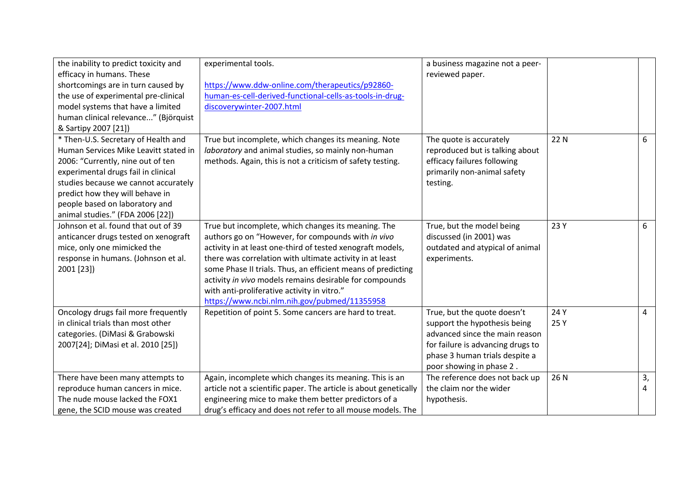| the inability to predict toxicity and | experimental tools.                                              | a business magazine not a peer-   |      |    |
|---------------------------------------|------------------------------------------------------------------|-----------------------------------|------|----|
| efficacy in humans. These             |                                                                  | reviewed paper.                   |      |    |
| shortcomings are in turn caused by    | https://www.ddw-online.com/therapeutics/p92860-                  |                                   |      |    |
| the use of experimental pre-clinical  | human-es-cell-derived-functional-cells-as-tools-in-drug-         |                                   |      |    |
| model systems that have a limited     | discoverywinter-2007.html                                        |                                   |      |    |
| human clinical relevance" (Björquist  |                                                                  |                                   |      |    |
| & Sartipy 2007 [21])                  |                                                                  |                                   |      |    |
| * Then-U.S. Secretary of Health and   | True but incomplete, which changes its meaning. Note             | The quote is accurately           | 22 N | 6  |
| Human Services Mike Leavitt stated in | laboratory and animal studies, so mainly non-human               | reproduced but is talking about   |      |    |
| 2006: "Currently, nine out of ten     | methods. Again, this is not a criticism of safety testing.       | efficacy failures following       |      |    |
| experimental drugs fail in clinical   |                                                                  | primarily non-animal safety       |      |    |
| studies because we cannot accurately  |                                                                  | testing.                          |      |    |
| predict how they will behave in       |                                                                  |                                   |      |    |
| people based on laboratory and        |                                                                  |                                   |      |    |
| animal studies." (FDA 2006 [22])      |                                                                  |                                   |      |    |
| Johnson et al. found that out of 39   | True but incomplete, which changes its meaning. The              | True, but the model being         | 23 Y | 6  |
| anticancer drugs tested on xenograft  | authors go on "However, for compounds with in vivo               | discussed (in 2001) was           |      |    |
| mice, only one mimicked the           | activity in at least one-third of tested xenograft models,       | outdated and atypical of animal   |      |    |
| response in humans. (Johnson et al.   | there was correlation with ultimate activity in at least         | experiments.                      |      |    |
| 2001 [23])                            | some Phase II trials. Thus, an efficient means of predicting     |                                   |      |    |
|                                       | activity in vivo models remains desirable for compounds          |                                   |      |    |
|                                       | with anti-proliferative activity in vitro."                      |                                   |      |    |
|                                       | https://www.ncbi.nlm.nih.gov/pubmed/11355958                     |                                   |      |    |
| Oncology drugs fail more frequently   | Repetition of point 5. Some cancers are hard to treat.           | True, but the quote doesn't       | 24 Y | 4  |
| in clinical trials than most other    |                                                                  | support the hypothesis being      | 25 Y |    |
| categories. (DiMasi & Grabowski       |                                                                  | advanced since the main reason    |      |    |
| 2007[24]; DiMasi et al. 2010 [25])    |                                                                  | for failure is advancing drugs to |      |    |
|                                       |                                                                  | phase 3 human trials despite a    |      |    |
|                                       |                                                                  | poor showing in phase 2.          |      |    |
| There have been many attempts to      | Again, incomplete which changes its meaning. This is an          | The reference does not back up    | 26 N | 3, |
| reproduce human cancers in mice.      | article not a scientific paper. The article is about genetically | the claim nor the wider           |      | 4  |
| The nude mouse lacked the FOX1        | engineering mice to make them better predictors of a             | hypothesis.                       |      |    |
| gene, the SCID mouse was created      | drug's efficacy and does not refer to all mouse models. The      |                                   |      |    |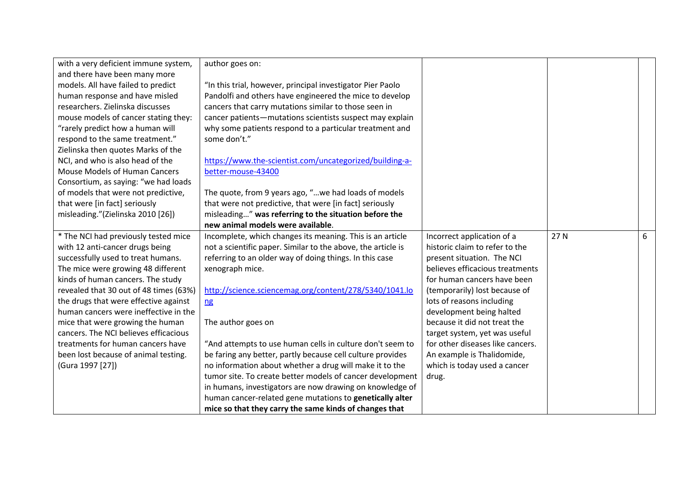| with a very deficient immune system,   | author goes on:                                              |                                  |      |   |
|----------------------------------------|--------------------------------------------------------------|----------------------------------|------|---|
| and there have been many more          |                                                              |                                  |      |   |
| models. All have failed to predict     | "In this trial, however, principal investigator Pier Paolo   |                                  |      |   |
| human response and have misled         | Pandolfi and others have engineered the mice to develop      |                                  |      |   |
| researchers. Zielinska discusses       | cancers that carry mutations similar to those seen in        |                                  |      |   |
| mouse models of cancer stating they:   | cancer patients-mutations scientists suspect may explain     |                                  |      |   |
| "rarely predict how a human will       | why some patients respond to a particular treatment and      |                                  |      |   |
| respond to the same treatment."        | some don't."                                                 |                                  |      |   |
| Zielinska then quotes Marks of the     |                                                              |                                  |      |   |
| NCI, and who is also head of the       | https://www.the-scientist.com/uncategorized/building-a-      |                                  |      |   |
| <b>Mouse Models of Human Cancers</b>   | better-mouse-43400                                           |                                  |      |   |
| Consortium, as saying: "we had loads   |                                                              |                                  |      |   |
| of models that were not predictive,    | The quote, from 9 years ago, " we had loads of models        |                                  |      |   |
| that were [in fact] seriously          | that were not predictive, that were [in fact] seriously      |                                  |      |   |
| misleading."(Zielinska 2010 [26])      | misleading" was referring to the situation before the        |                                  |      |   |
|                                        | new animal models were available.                            |                                  |      |   |
| * The NCI had previously tested mice   | Incomplete, which changes its meaning. This is an article    | Incorrect application of a       | 27 N | 6 |
| with 12 anti-cancer drugs being        | not a scientific paper. Similar to the above, the article is | historic claim to refer to the   |      |   |
| successfully used to treat humans.     | referring to an older way of doing things. In this case      | present situation. The NCI       |      |   |
| The mice were growing 48 different     | xenograph mice.                                              | believes efficacious treatments  |      |   |
| kinds of human cancers. The study      |                                                              | for human cancers have been      |      |   |
| revealed that 30 out of 48 times (63%) | http://science.sciencemag.org/content/278/5340/1041.lo       | (temporarily) lost because of    |      |   |
| the drugs that were effective against  | n <sub>g</sub>                                               | lots of reasons including        |      |   |
| human cancers were ineffective in the  |                                                              | development being halted         |      |   |
| mice that were growing the human       | The author goes on                                           | because it did not treat the     |      |   |
| cancers. The NCI believes efficacious  |                                                              | target system, yet was useful    |      |   |
| treatments for human cancers have      | "And attempts to use human cells in culture don't seem to    | for other diseases like cancers. |      |   |
| been lost because of animal testing.   | be faring any better, partly because cell culture provides   | An example is Thalidomide,       |      |   |
| (Gura 1997 [27])                       | no information about whether a drug will make it to the      | which is today used a cancer     |      |   |
|                                        | tumor site. To create better models of cancer development    | drug.                            |      |   |
|                                        | in humans, investigators are now drawing on knowledge of     |                                  |      |   |
|                                        | human cancer-related gene mutations to genetically alter     |                                  |      |   |
|                                        | mice so that they carry the same kinds of changes that       |                                  |      |   |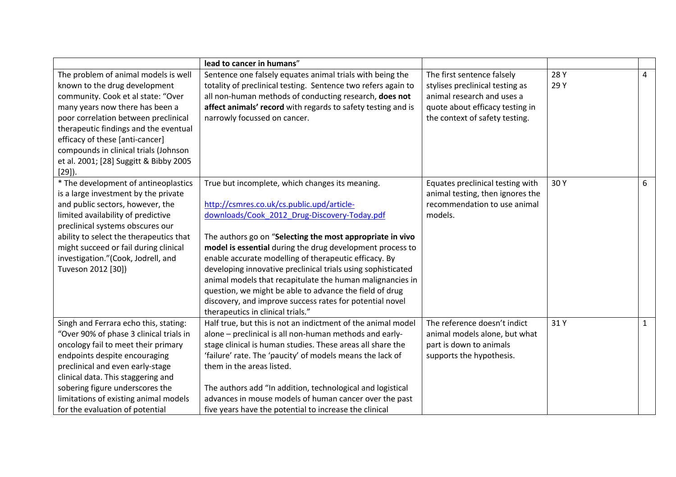|                                                                       | lead to cancer in humans"                                                                                                  |                                                               |              |              |
|-----------------------------------------------------------------------|----------------------------------------------------------------------------------------------------------------------------|---------------------------------------------------------------|--------------|--------------|
| The problem of animal models is well<br>known to the drug development | Sentence one falsely equates animal trials with being the<br>totality of preclinical testing. Sentence two refers again to | The first sentence falsely<br>stylises preclinical testing as | 28 Y<br>29 Y | 4            |
| community. Cook et al state: "Over                                    | all non-human methods of conducting research, does not                                                                     | animal research and uses a                                    |              |              |
| many years now there has been a                                       | affect animals' record with regards to safety testing and is                                                               | quote about efficacy testing in                               |              |              |
| poor correlation between preclinical                                  | narrowly focussed on cancer.                                                                                               | the context of safety testing.                                |              |              |
| therapeutic findings and the eventual                                 |                                                                                                                            |                                                               |              |              |
| efficacy of these [anti-cancer]                                       |                                                                                                                            |                                                               |              |              |
|                                                                       |                                                                                                                            |                                                               |              |              |
| compounds in clinical trials (Johnson                                 |                                                                                                                            |                                                               |              |              |
| et al. 2001; [28] Suggitt & Bibby 2005                                |                                                                                                                            |                                                               |              |              |
| $[29]$ ).                                                             |                                                                                                                            |                                                               |              |              |
| * The development of antineoplastics                                  | True but incomplete, which changes its meaning.                                                                            | Equates preclinical testing with                              | 30Y          | 6            |
| is a large investment by the private                                  |                                                                                                                            | animal testing, then ignores the                              |              |              |
| and public sectors, however, the                                      | http://csmres.co.uk/cs.public.upd/article-                                                                                 | recommendation to use animal                                  |              |              |
| limited availability of predictive                                    | downloads/Cook 2012 Drug-Discovery-Today.pdf                                                                               | models.                                                       |              |              |
| preclinical systems obscures our                                      |                                                                                                                            |                                                               |              |              |
| ability to select the therapeutics that                               | The authors go on "Selecting the most appropriate in vivo                                                                  |                                                               |              |              |
| might succeed or fail during clinical                                 | model is essential during the drug development process to                                                                  |                                                               |              |              |
| investigation."(Cook, Jodrell, and                                    | enable accurate modelling of therapeutic efficacy. By                                                                      |                                                               |              |              |
| Tuveson 2012 [30])                                                    | developing innovative preclinical trials using sophisticated                                                               |                                                               |              |              |
|                                                                       | animal models that recapitulate the human malignancies in                                                                  |                                                               |              |              |
|                                                                       | question, we might be able to advance the field of drug                                                                    |                                                               |              |              |
|                                                                       | discovery, and improve success rates for potential novel                                                                   |                                                               |              |              |
|                                                                       | therapeutics in clinical trials."                                                                                          |                                                               |              |              |
| Singh and Ferrara echo this, stating:                                 | Half true, but this is not an indictment of the animal model                                                               | The reference doesn't indict                                  | 31Y          | $\mathbf{1}$ |
| "Over 90% of phase 3 clinical trials in                               | alone - preclinical is all non-human methods and early-                                                                    | animal models alone, but what                                 |              |              |
| oncology fail to meet their primary                                   | stage clinical is human studies. These areas all share the                                                                 | part is down to animals                                       |              |              |
| endpoints despite encouraging                                         | 'failure' rate. The 'paucity' of models means the lack of                                                                  | supports the hypothesis.                                      |              |              |
| preclinical and even early-stage                                      | them in the areas listed.                                                                                                  |                                                               |              |              |
| clinical data. This staggering and                                    |                                                                                                                            |                                                               |              |              |
| sobering figure underscores the                                       | The authors add "In addition, technological and logistical                                                                 |                                                               |              |              |
| limitations of existing animal models                                 | advances in mouse models of human cancer over the past                                                                     |                                                               |              |              |
| for the evaluation of potential                                       | five years have the potential to increase the clinical                                                                     |                                                               |              |              |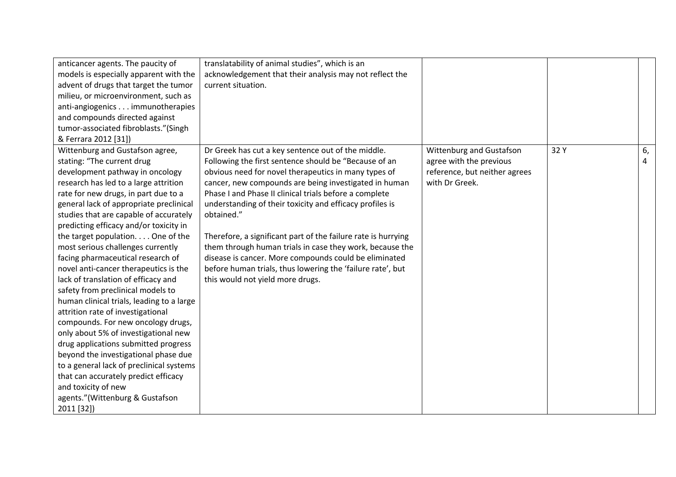| anticancer agents. The paucity of         | translatability of animal studies", which is an               |                               |      |    |
|-------------------------------------------|---------------------------------------------------------------|-------------------------------|------|----|
| models is especially apparent with the    | acknowledgement that their analysis may not reflect the       |                               |      |    |
| advent of drugs that target the tumor     | current situation.                                            |                               |      |    |
| milieu, or microenvironment, such as      |                                                               |                               |      |    |
| anti-angiogenics immunotherapies          |                                                               |                               |      |    |
| and compounds directed against            |                                                               |                               |      |    |
| tumor-associated fibroblasts."(Singh      |                                                               |                               |      |    |
| & Ferrara 2012 [31])                      |                                                               |                               |      |    |
| Wittenburg and Gustafson agree,           | Dr Greek has cut a key sentence out of the middle.            | Wittenburg and Gustafson      | 32 Y | 6, |
| stating: "The current drug                | Following the first sentence should be "Because of an         | agree with the previous       |      | 4  |
| development pathway in oncology           | obvious need for novel therapeutics in many types of          | reference, but neither agrees |      |    |
| research has led to a large attrition     | cancer, new compounds are being investigated in human         | with Dr Greek.                |      |    |
| rate for new drugs, in part due to a      | Phase I and Phase II clinical trials before a complete        |                               |      |    |
| general lack of appropriate preclinical   | understanding of their toxicity and efficacy profiles is      |                               |      |    |
| studies that are capable of accurately    | obtained."                                                    |                               |      |    |
| predicting efficacy and/or toxicity in    |                                                               |                               |      |    |
| the target population. One of the         | Therefore, a significant part of the failure rate is hurrying |                               |      |    |
| most serious challenges currently         | them through human trials in case they work, because the      |                               |      |    |
| facing pharmaceutical research of         | disease is cancer. More compounds could be eliminated         |                               |      |    |
| novel anti-cancer therapeutics is the     | before human trials, thus lowering the 'failure rate', but    |                               |      |    |
| lack of translation of efficacy and       | this would not yield more drugs.                              |                               |      |    |
| safety from preclinical models to         |                                                               |                               |      |    |
| human clinical trials, leading to a large |                                                               |                               |      |    |
| attrition rate of investigational         |                                                               |                               |      |    |
| compounds. For new oncology drugs,        |                                                               |                               |      |    |
| only about 5% of investigational new      |                                                               |                               |      |    |
| drug applications submitted progress      |                                                               |                               |      |    |
| beyond the investigational phase due      |                                                               |                               |      |    |
| to a general lack of preclinical systems  |                                                               |                               |      |    |
| that can accurately predict efficacy      |                                                               |                               |      |    |
| and toxicity of new                       |                                                               |                               |      |    |
| agents."(Wittenburg & Gustafson           |                                                               |                               |      |    |
| 2011 [32])                                |                                                               |                               |      |    |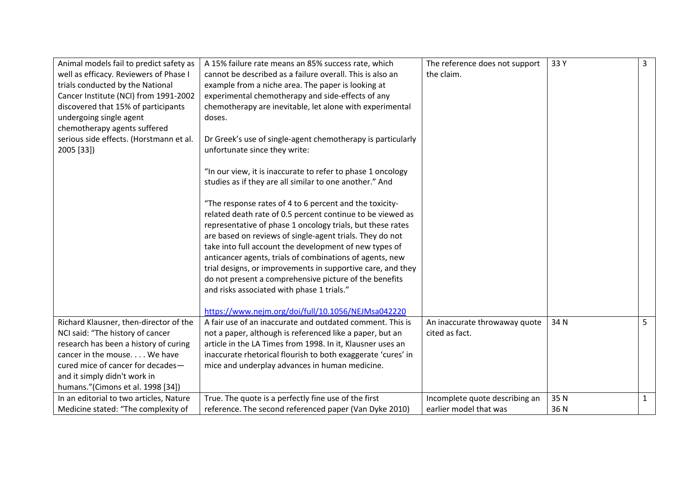| Animal models fail to predict safety as | A 15% failure rate means an 85% success rate, which          | The reference does not support | 33 Y | 3              |
|-----------------------------------------|--------------------------------------------------------------|--------------------------------|------|----------------|
| well as efficacy. Reviewers of Phase I  | cannot be described as a failure overall. This is also an    | the claim.                     |      |                |
| trials conducted by the National        | example from a niche area. The paper is looking at           |                                |      |                |
| Cancer Institute (NCI) from 1991-2002   | experimental chemotherapy and side-effects of any            |                                |      |                |
| discovered that 15% of participants     | chemotherapy are inevitable, let alone with experimental     |                                |      |                |
| undergoing single agent                 | doses.                                                       |                                |      |                |
| chemotherapy agents suffered            |                                                              |                                |      |                |
| serious side effects. (Horstmann et al. | Dr Greek's use of single-agent chemotherapy is particularly  |                                |      |                |
| 2005 [33])                              | unfortunate since they write:                                |                                |      |                |
|                                         |                                                              |                                |      |                |
|                                         | "In our view, it is inaccurate to refer to phase 1 oncology  |                                |      |                |
|                                         | studies as if they are all similar to one another." And      |                                |      |                |
|                                         |                                                              |                                |      |                |
|                                         | "The response rates of 4 to 6 percent and the toxicity-      |                                |      |                |
|                                         | related death rate of 0.5 percent continue to be viewed as   |                                |      |                |
|                                         | representative of phase 1 oncology trials, but these rates   |                                |      |                |
|                                         | are based on reviews of single-agent trials. They do not     |                                |      |                |
|                                         | take into full account the development of new types of       |                                |      |                |
|                                         | anticancer agents, trials of combinations of agents, new     |                                |      |                |
|                                         | trial designs, or improvements in supportive care, and they  |                                |      |                |
|                                         | do not present a comprehensive picture of the benefits       |                                |      |                |
|                                         | and risks associated with phase 1 trials."                   |                                |      |                |
|                                         |                                                              |                                |      |                |
|                                         | https://www.nejm.org/doi/full/10.1056/NEJMsa042220           |                                |      |                |
| Richard Klausner, then-director of the  | A fair use of an inaccurate and outdated comment. This is    | An inaccurate throwaway quote  | 34 N | 5 <sup>1</sup> |
| NCI said: "The history of cancer        | not a paper, although is referenced like a paper, but an     | cited as fact.                 |      |                |
| research has been a history of curing   | article in the LA Times from 1998. In it, Klausner uses an   |                                |      |                |
| cancer in the mouse We have             | inaccurate rhetorical flourish to both exaggerate 'cures' in |                                |      |                |
| cured mice of cancer for decades-       | mice and underplay advances in human medicine.               |                                |      |                |
| and it simply didn't work in            |                                                              |                                |      |                |
| humans."(Cimons et al. 1998 [34])       |                                                              |                                |      |                |
| In an editorial to two articles, Nature | True. The quote is a perfectly fine use of the first         | Incomplete quote describing an | 35N  | $\mathbf{1}$   |
| Medicine stated: "The complexity of     | reference. The second referenced paper (Van Dyke 2010)       | earlier model that was         | 36N  |                |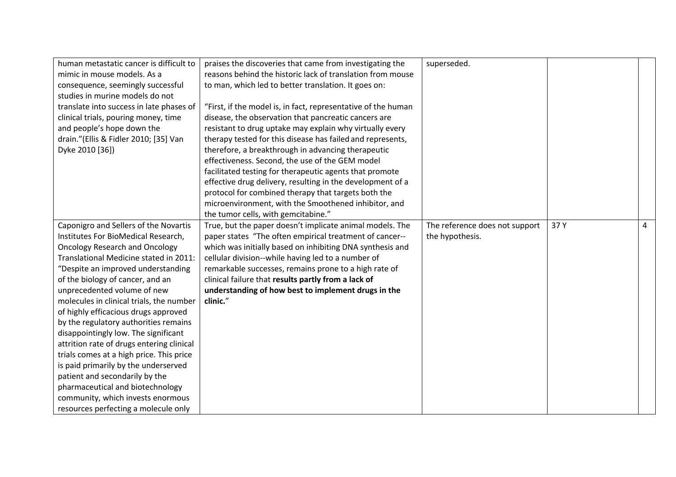| human metastatic cancer is difficult to   | praises the discoveries that came from investigating the      | superseded.                    |      |   |
|-------------------------------------------|---------------------------------------------------------------|--------------------------------|------|---|
| mimic in mouse models. As a               | reasons behind the historic lack of translation from mouse    |                                |      |   |
| consequence, seemingly successful         | to man, which led to better translation. It goes on:          |                                |      |   |
| studies in murine models do not           |                                                               |                                |      |   |
| translate into success in late phases of  | "First, if the model is, in fact, representative of the human |                                |      |   |
| clinical trials, pouring money, time      | disease, the observation that pancreatic cancers are          |                                |      |   |
| and people's hope down the                | resistant to drug uptake may explain why virtually every      |                                |      |   |
| drain."(Ellis & Fidler 2010; [35] Van     | therapy tested for this disease has failed and represents,    |                                |      |   |
| Dyke 2010 [36])                           | therefore, a breakthrough in advancing therapeutic            |                                |      |   |
|                                           | effectiveness. Second, the use of the GEM model               |                                |      |   |
|                                           | facilitated testing for therapeutic agents that promote       |                                |      |   |
|                                           | effective drug delivery, resulting in the development of a    |                                |      |   |
|                                           | protocol for combined therapy that targets both the           |                                |      |   |
|                                           | microenvironment, with the Smoothened inhibitor, and          |                                |      |   |
|                                           | the tumor cells, with gemcitabine."                           |                                |      |   |
| Caponigro and Sellers of the Novartis     | True, but the paper doesn't implicate animal models. The      | The reference does not support | 37 Y | 4 |
| Institutes For BioMedical Research,       | paper states "The often empirical treatment of cancer--       | the hypothesis.                |      |   |
| <b>Oncology Research and Oncology</b>     | which was initially based on inhibiting DNA synthesis and     |                                |      |   |
| Translational Medicine stated in 2011:    | cellular division--while having led to a number of            |                                |      |   |
| "Despite an improved understanding        | remarkable successes, remains prone to a high rate of         |                                |      |   |
| of the biology of cancer, and an          | clinical failure that results partly from a lack of           |                                |      |   |
| unprecedented volume of new               | understanding of how best to implement drugs in the           |                                |      |   |
| molecules in clinical trials, the number  | clinic."                                                      |                                |      |   |
| of highly efficacious drugs approved      |                                                               |                                |      |   |
| by the regulatory authorities remains     |                                                               |                                |      |   |
| disappointingly low. The significant      |                                                               |                                |      |   |
| attrition rate of drugs entering clinical |                                                               |                                |      |   |
| trials comes at a high price. This price  |                                                               |                                |      |   |
| is paid primarily by the underserved      |                                                               |                                |      |   |
| patient and secondarily by the            |                                                               |                                |      |   |
| pharmaceutical and biotechnology          |                                                               |                                |      |   |
| community, which invests enormous         |                                                               |                                |      |   |
| resources perfecting a molecule only      |                                                               |                                |      |   |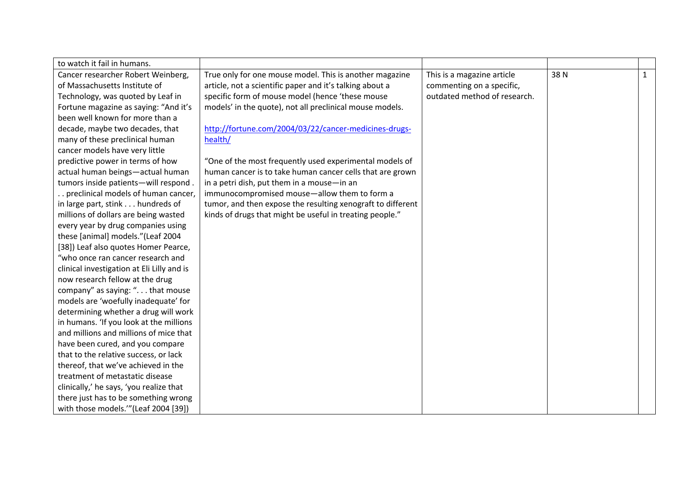| to watch it fail in humans.                |                                                             |                              |     |              |
|--------------------------------------------|-------------------------------------------------------------|------------------------------|-----|--------------|
| Cancer researcher Robert Weinberg,         | True only for one mouse model. This is another magazine     | This is a magazine article   | 38N | $\mathbf{1}$ |
| of Massachusetts Institute of              | article, not a scientific paper and it's talking about a    | commenting on a specific,    |     |              |
| Technology, was quoted by Leaf in          | specific form of mouse model (hence 'these mouse            | outdated method of research. |     |              |
| Fortune magazine as saying: "And it's      | models' in the quote), not all preclinical mouse models.    |                              |     |              |
| been well known for more than a            |                                                             |                              |     |              |
| decade, maybe two decades, that            | http://fortune.com/2004/03/22/cancer-medicines-drugs-       |                              |     |              |
| many of these preclinical human            | health/                                                     |                              |     |              |
| cancer models have very little             |                                                             |                              |     |              |
| predictive power in terms of how           | "One of the most frequently used experimental models of     |                              |     |              |
| actual human beings-actual human           | human cancer is to take human cancer cells that are grown   |                              |     |              |
| tumors inside patients-will respond.       | in a petri dish, put them in a mouse-in an                  |                              |     |              |
| preclinical models of human cancer,        | immunocompromised mouse-allow them to form a                |                              |     |              |
| in large part, stink hundreds of           | tumor, and then expose the resulting xenograft to different |                              |     |              |
| millions of dollars are being wasted       | kinds of drugs that might be useful in treating people."    |                              |     |              |
| every year by drug companies using         |                                                             |                              |     |              |
| these [animal] models."(Leaf 2004          |                                                             |                              |     |              |
| [38]) Leaf also quotes Homer Pearce,       |                                                             |                              |     |              |
| "who once ran cancer research and          |                                                             |                              |     |              |
| clinical investigation at Eli Lilly and is |                                                             |                              |     |              |
| now research fellow at the drug            |                                                             |                              |     |              |
| company" as saying: ". that mouse          |                                                             |                              |     |              |
| models are 'woefully inadequate' for       |                                                             |                              |     |              |
| determining whether a drug will work       |                                                             |                              |     |              |
| in humans. 'If you look at the millions    |                                                             |                              |     |              |
| and millions and millions of mice that     |                                                             |                              |     |              |
| have been cured, and you compare           |                                                             |                              |     |              |
| that to the relative success, or lack      |                                                             |                              |     |              |
| thereof, that we've achieved in the        |                                                             |                              |     |              |
| treatment of metastatic disease            |                                                             |                              |     |              |
| clinically,' he says, 'you realize that    |                                                             |                              |     |              |
| there just has to be something wrong       |                                                             |                              |     |              |
| with those models." (Leaf 2004 [39])       |                                                             |                              |     |              |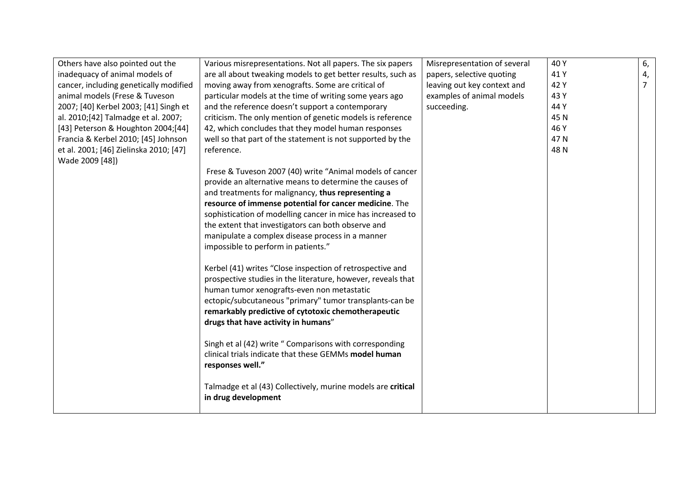| Others have also pointed out the       | Various misrepresentations. Not all papers. The six papers   | Misrepresentation of several | 40 Y | 6,             |
|----------------------------------------|--------------------------------------------------------------|------------------------------|------|----------------|
| inadequacy of animal models of         | are all about tweaking models to get better results, such as | papers, selective quoting    | 41 Y | 4,             |
| cancer, including genetically modified | moving away from xenografts. Some are critical of            | leaving out key context and  | 42 Y | $\overline{7}$ |
| animal models (Frese & Tuveson         | particular models at the time of writing some years ago      | examples of animal models    | 43 Y |                |
| 2007; [40] Kerbel 2003; [41] Singh et  | and the reference doesn't support a contemporary             | succeeding.                  | 44 Y |                |
| al. 2010;[42] Talmadge et al. 2007;    | criticism. The only mention of genetic models is reference   |                              | 45N  |                |
| [43] Peterson & Houghton 2004;[44]     | 42, which concludes that they model human responses          |                              | 46 Y |                |
| Francia & Kerbel 2010; [45] Johnson    | well so that part of the statement is not supported by the   |                              | 47N  |                |
| et al. 2001; [46] Zielinska 2010; [47] | reference.                                                   |                              | 48N  |                |
| Wade 2009 [48])                        |                                                              |                              |      |                |
|                                        | Frese & Tuveson 2007 (40) write "Animal models of cancer     |                              |      |                |
|                                        | provide an alternative means to determine the causes of      |                              |      |                |
|                                        | and treatments for malignancy, thus representing a           |                              |      |                |
|                                        | resource of immense potential for cancer medicine. The       |                              |      |                |
|                                        | sophistication of modelling cancer in mice has increased to  |                              |      |                |
|                                        | the extent that investigators can both observe and           |                              |      |                |
|                                        | manipulate a complex disease process in a manner             |                              |      |                |
|                                        | impossible to perform in patients."                          |                              |      |                |
|                                        |                                                              |                              |      |                |
|                                        | Kerbel (41) writes "Close inspection of retrospective and    |                              |      |                |
|                                        | prospective studies in the literature, however, reveals that |                              |      |                |
|                                        | human tumor xenografts-even non metastatic                   |                              |      |                |
|                                        | ectopic/subcutaneous "primary" tumor transplants-can be      |                              |      |                |
|                                        | remarkably predictive of cytotoxic chemotherapeutic          |                              |      |                |
|                                        | drugs that have activity in humans"                          |                              |      |                |
|                                        |                                                              |                              |      |                |
|                                        | Singh et al (42) write "Comparisons with corresponding       |                              |      |                |
|                                        | clinical trials indicate that these GEMMs model human        |                              |      |                |
|                                        | responses well."                                             |                              |      |                |
|                                        |                                                              |                              |      |                |
|                                        | Talmadge et al (43) Collectively, murine models are critical |                              |      |                |
|                                        | in drug development                                          |                              |      |                |
|                                        |                                                              |                              |      |                |
|                                        |                                                              |                              |      |                |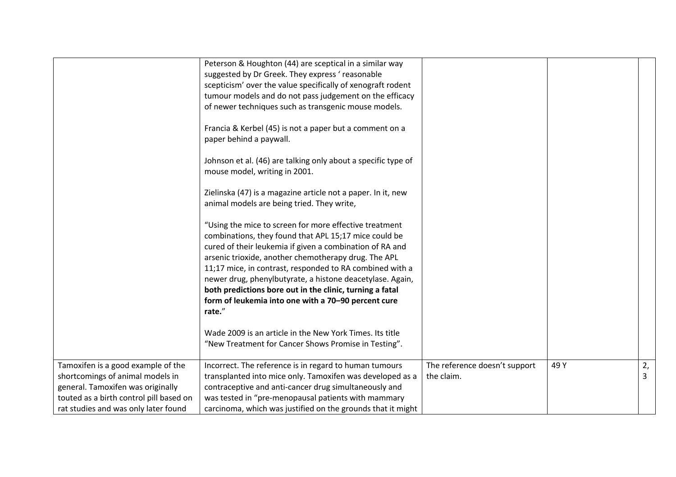|                                                                                                                                                                                                | Peterson & Houghton (44) are sceptical in a similar way<br>suggested by Dr Greek. They express 'reasonable<br>scepticism' over the value specifically of xenograft rodent<br>tumour models and do not pass judgement on the efficacy<br>of newer techniques such as transgenic mouse models.<br>Francia & Kerbel (45) is not a paper but a comment on a<br>paper behind a paywall.<br>Johnson et al. (46) are talking only about a specific type of<br>mouse model, writing in 2001.<br>Zielinska (47) is a magazine article not a paper. In it, new<br>animal models are being tried. They write,<br>"Using the mice to screen for more effective treatment<br>combinations, they found that APL 15;17 mice could be |                                             |      |         |
|------------------------------------------------------------------------------------------------------------------------------------------------------------------------------------------------|-----------------------------------------------------------------------------------------------------------------------------------------------------------------------------------------------------------------------------------------------------------------------------------------------------------------------------------------------------------------------------------------------------------------------------------------------------------------------------------------------------------------------------------------------------------------------------------------------------------------------------------------------------------------------------------------------------------------------|---------------------------------------------|------|---------|
|                                                                                                                                                                                                | arsenic trioxide, another chemotherapy drug. The APL<br>11;17 mice, in contrast, responded to RA combined with a<br>newer drug, phenylbutyrate, a histone deacetylase. Again,<br>both predictions bore out in the clinic, turning a fatal<br>form of leukemia into one with a 70-90 percent cure<br>rate."<br>Wade 2009 is an article in the New York Times. Its title<br>"New Treatment for Cancer Shows Promise in Testing".                                                                                                                                                                                                                                                                                        |                                             |      |         |
| Tamoxifen is a good example of the<br>shortcomings of animal models in<br>general. Tamoxifen was originally<br>touted as a birth control pill based on<br>rat studies and was only later found | Incorrect. The reference is in regard to human tumours<br>transplanted into mice only. Tamoxifen was developed as a<br>contraceptive and anti-cancer drug simultaneously and<br>was tested in "pre-menopausal patients with mammary<br>carcinoma, which was justified on the grounds that it might                                                                                                                                                                                                                                                                                                                                                                                                                    | The reference doesn't support<br>the claim. | 49 Y | 2,<br>3 |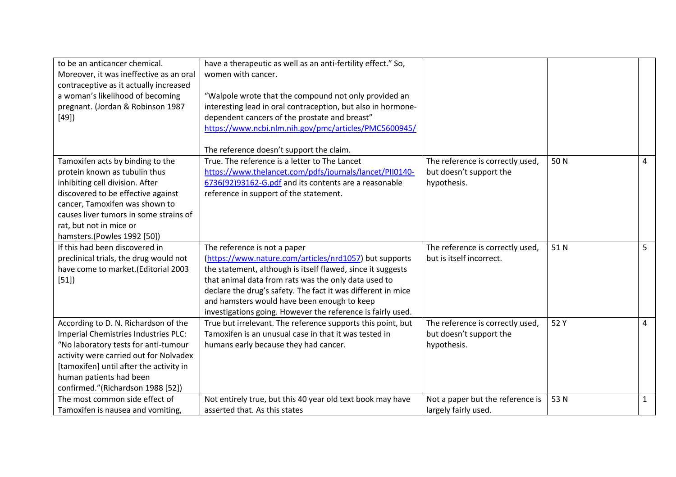| to be an anticancer chemical.           | have a therapeutic as well as an anti-fertility effect." So, |                                  |      |                |
|-----------------------------------------|--------------------------------------------------------------|----------------------------------|------|----------------|
| Moreover, it was ineffective as an oral | women with cancer.                                           |                                  |      |                |
| contraceptive as it actually increased  |                                                              |                                  |      |                |
| a woman's likelihood of becoming        | "Walpole wrote that the compound not only provided an        |                                  |      |                |
| pregnant. (Jordan & Robinson 1987       | interesting lead in oral contraception, but also in hormone- |                                  |      |                |
| [49]                                    | dependent cancers of the prostate and breast"                |                                  |      |                |
|                                         | https://www.ncbi.nlm.nih.gov/pmc/articles/PMC5600945/        |                                  |      |                |
|                                         |                                                              |                                  |      |                |
|                                         | The reference doesn't support the claim.                     |                                  |      |                |
| Tamoxifen acts by binding to the        | True. The reference is a letter to The Lancet                | The reference is correctly used, | 50N  | $\overline{4}$ |
| protein known as tubulin thus           | https://www.thelancet.com/pdfs/journals/lancet/PII0140-      | but doesn't support the          |      |                |
| inhibiting cell division. After         | 6736(92)93162-G.pdf and its contents are a reasonable        | hypothesis.                      |      |                |
| discovered to be effective against      | reference in support of the statement.                       |                                  |      |                |
| cancer, Tamoxifen was shown to          |                                                              |                                  |      |                |
| causes liver tumors in some strains of  |                                                              |                                  |      |                |
| rat, but not in mice or                 |                                                              |                                  |      |                |
| hamsters.(Powles 1992 [50])             |                                                              |                                  |      |                |
| If this had been discovered in          | The reference is not a paper                                 | The reference is correctly used, | 51N  | 5              |
| preclinical trials, the drug would not  | (https://www.nature.com/articles/nrd1057) but supports       | but is itself incorrect.         |      |                |
| have come to market.(Editorial 2003     | the statement, although is itself flawed, since it suggests  |                                  |      |                |
| [51]                                    | that animal data from rats was the only data used to         |                                  |      |                |
|                                         | declare the drug's safety. The fact it was different in mice |                                  |      |                |
|                                         | and hamsters would have been enough to keep                  |                                  |      |                |
|                                         | investigations going. However the reference is fairly used.  |                                  |      |                |
| According to D. N. Richardson of the    | True but irrelevant. The reference supports this point, but  | The reference is correctly used, | 52 Y | $\overline{4}$ |
| Imperial Chemistries Industries PLC:    | Tamoxifen is an unusual case in that it was tested in        | but doesn't support the          |      |                |
| "No laboratory tests for anti-tumour    | humans early because they had cancer.                        | hypothesis.                      |      |                |
| activity were carried out for Nolvadex  |                                                              |                                  |      |                |
| [tamoxifen] until after the activity in |                                                              |                                  |      |                |
| human patients had been                 |                                                              |                                  |      |                |
| confirmed."(Richardson 1988 [52])       |                                                              |                                  |      |                |
| The most common side effect of          | Not entirely true, but this 40 year old text book may have   | Not a paper but the reference is | 53 N | $\mathbf{1}$   |
| Tamoxifen is nausea and vomiting,       | asserted that. As this states                                | largely fairly used.             |      |                |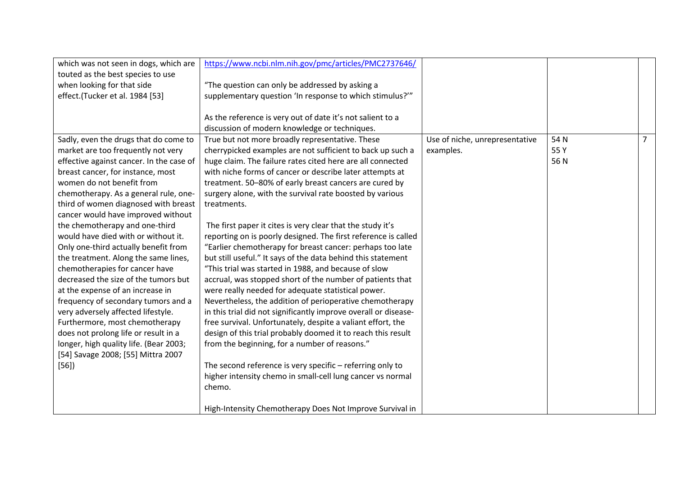| which was not seen in dogs, which are    | https://www.ncbi.nlm.nih.gov/pmc/articles/PMC2737646/           |                                |      |                |
|------------------------------------------|-----------------------------------------------------------------|--------------------------------|------|----------------|
| touted as the best species to use        |                                                                 |                                |      |                |
| when looking for that side               | "The question can only be addressed by asking a                 |                                |      |                |
| effect.(Tucker et al. 1984 [53]          | supplementary question 'In response to which stimulus?'"        |                                |      |                |
|                                          |                                                                 |                                |      |                |
|                                          | As the reference is very out of date it's not salient to a      |                                |      |                |
|                                          | discussion of modern knowledge or techniques.                   |                                |      |                |
| Sadly, even the drugs that do come to    | True but not more broadly representative. These                 | Use of niche, unrepresentative | 54 N | $\overline{7}$ |
| market are too frequently not very       | cherrypicked examples are not sufficient to back up such a      | examples.                      | 55 Y |                |
| effective against cancer. In the case of | huge claim. The failure rates cited here are all connected      |                                | 56N  |                |
| breast cancer, for instance, most        | with niche forms of cancer or describe later attempts at        |                                |      |                |
| women do not benefit from                | treatment. 50-80% of early breast cancers are cured by          |                                |      |                |
| chemotherapy. As a general rule, one-    | surgery alone, with the survival rate boosted by various        |                                |      |                |
| third of women diagnosed with breast     | treatments.                                                     |                                |      |                |
| cancer would have improved without       |                                                                 |                                |      |                |
| the chemotherapy and one-third           | The first paper it cites is very clear that the study it's      |                                |      |                |
| would have died with or without it.      | reporting on is poorly designed. The first reference is called  |                                |      |                |
| Only one-third actually benefit from     | "Earlier chemotherapy for breast cancer: perhaps too late       |                                |      |                |
| the treatment. Along the same lines,     | but still useful." It says of the data behind this statement    |                                |      |                |
| chemotherapies for cancer have           | "This trial was started in 1988, and because of slow            |                                |      |                |
| decreased the size of the tumors but     | accrual, was stopped short of the number of patients that       |                                |      |                |
| at the expense of an increase in         | were really needed for adequate statistical power.              |                                |      |                |
| frequency of secondary tumors and a      | Nevertheless, the addition of perioperative chemotherapy        |                                |      |                |
| very adversely affected lifestyle.       | in this trial did not significantly improve overall or disease- |                                |      |                |
| Furthermore, most chemotherapy           | free survival. Unfortunately, despite a valiant effort, the     |                                |      |                |
| does not prolong life or result in a     | design of this trial probably doomed it to reach this result    |                                |      |                |
| longer, high quality life. (Bear 2003;   | from the beginning, for a number of reasons."                   |                                |      |                |
| [54] Savage 2008; [55] Mittra 2007       |                                                                 |                                |      |                |
| $[56]$                                   | The second reference is very specific - referring only to       |                                |      |                |
|                                          | higher intensity chemo in small-cell lung cancer vs normal      |                                |      |                |
|                                          | chemo.                                                          |                                |      |                |
|                                          |                                                                 |                                |      |                |
|                                          | High-Intensity Chemotherapy Does Not Improve Survival in        |                                |      |                |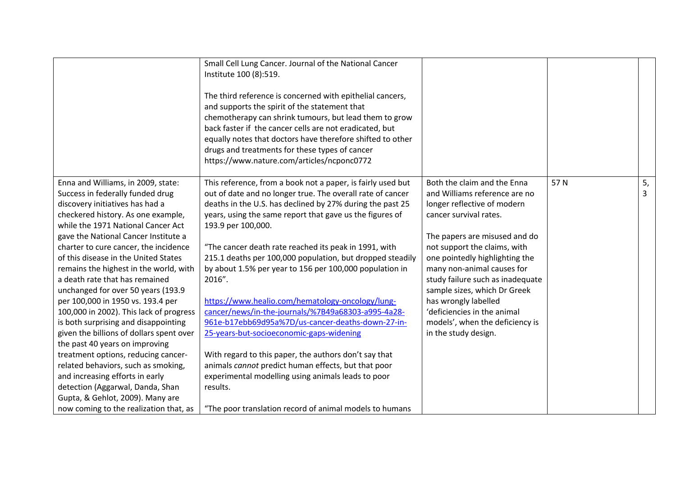|                                                                                                                                                                                                                                                                                                                                                                                                                                                                                                                                                                                                                                                                                                                                                                                             | Small Cell Lung Cancer. Journal of the National Cancer<br>Institute 100 (8):519.<br>The third reference is concerned with epithelial cancers,<br>and supports the spirit of the statement that<br>chemotherapy can shrink tumours, but lead them to grow<br>back faster if the cancer cells are not eradicated, but<br>equally notes that doctors have therefore shifted to other<br>drugs and treatments for these types of cancer<br>https://www.nature.com/articles/ncponc0772                                                                                                                                                                                                                                                                                                                                                                                |                                                                                                                                                                                                                                                                                                                                                                                                                                              |     |         |
|---------------------------------------------------------------------------------------------------------------------------------------------------------------------------------------------------------------------------------------------------------------------------------------------------------------------------------------------------------------------------------------------------------------------------------------------------------------------------------------------------------------------------------------------------------------------------------------------------------------------------------------------------------------------------------------------------------------------------------------------------------------------------------------------|------------------------------------------------------------------------------------------------------------------------------------------------------------------------------------------------------------------------------------------------------------------------------------------------------------------------------------------------------------------------------------------------------------------------------------------------------------------------------------------------------------------------------------------------------------------------------------------------------------------------------------------------------------------------------------------------------------------------------------------------------------------------------------------------------------------------------------------------------------------|----------------------------------------------------------------------------------------------------------------------------------------------------------------------------------------------------------------------------------------------------------------------------------------------------------------------------------------------------------------------------------------------------------------------------------------------|-----|---------|
| Enna and Williams, in 2009, state:<br>Success in federally funded drug<br>discovery initiatives has had a<br>checkered history. As one example,<br>while the 1971 National Cancer Act<br>gave the National Cancer Institute a<br>charter to cure cancer, the incidence<br>of this disease in the United States<br>remains the highest in the world, with<br>a death rate that has remained<br>unchanged for over 50 years (193.9<br>per 100,000 in 1950 vs. 193.4 per<br>100,000 in 2002). This lack of progress<br>is both surprising and disappointing<br>given the billions of dollars spent over<br>the past 40 years on improving<br>treatment options, reducing cancer-<br>related behaviors, such as smoking,<br>and increasing efforts in early<br>detection (Aggarwal, Danda, Shan | This reference, from a book not a paper, is fairly used but<br>out of date and no longer true. The overall rate of cancer<br>deaths in the U.S. has declined by 27% during the past 25<br>years, using the same report that gave us the figures of<br>193.9 per 100,000.<br>"The cancer death rate reached its peak in 1991, with<br>215.1 deaths per 100,000 population, but dropped steadily<br>by about 1.5% per year to 156 per 100,000 population in<br>2016".<br>https://www.healio.com/hematology-oncology/lung-<br>cancer/news/in-the-journals/%7B49a68303-a995-4a28-<br>961e-b17ebb69d95a%7D/us-cancer-deaths-down-27-in-<br>25-years-but-socioeconomic-gaps-widening<br>With regard to this paper, the authors don't say that<br>animals cannot predict human effects, but that poor<br>experimental modelling using animals leads to poor<br>results. | Both the claim and the Enna<br>and Williams reference are no<br>longer reflective of modern<br>cancer survival rates.<br>The papers are misused and do<br>not support the claims, with<br>one pointedly highlighting the<br>many non-animal causes for<br>study failure such as inadequate<br>sample sizes, which Dr Greek<br>has wrongly labelled<br>'deficiencies in the animal<br>models', when the deficiency is<br>in the study design. | 57N | 5,<br>3 |
| Gupta, & Gehlot, 2009). Many are<br>now coming to the realization that, as                                                                                                                                                                                                                                                                                                                                                                                                                                                                                                                                                                                                                                                                                                                  | "The poor translation record of animal models to humans                                                                                                                                                                                                                                                                                                                                                                                                                                                                                                                                                                                                                                                                                                                                                                                                          |                                                                                                                                                                                                                                                                                                                                                                                                                                              |     |         |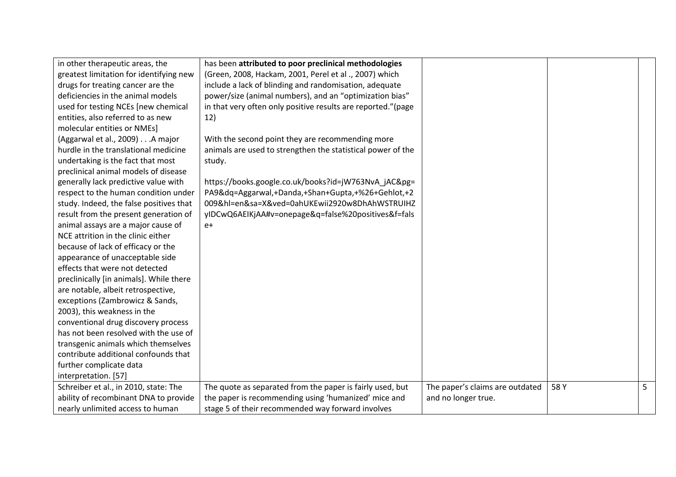| in other therapeutic areas, the         | has been attributed to poor preclinical methodologies        |                                 |      |   |
|-----------------------------------------|--------------------------------------------------------------|---------------------------------|------|---|
| greatest limitation for identifying new | (Green, 2008, Hackam, 2001, Perel et al., 2007) which        |                                 |      |   |
| drugs for treating cancer are the       | include a lack of blinding and randomisation, adequate       |                                 |      |   |
| deficiencies in the animal models       | power/size (animal numbers), and an "optimization bias"      |                                 |      |   |
| used for testing NCEs [new chemical     | in that very often only positive results are reported."(page |                                 |      |   |
| entities, also referred to as new       | 12)                                                          |                                 |      |   |
| molecular entities or NMEs]             |                                                              |                                 |      |   |
| (Aggarwal et al., 2009) A major         | With the second point they are recommending more             |                                 |      |   |
| hurdle in the translational medicine    | animals are used to strengthen the statistical power of the  |                                 |      |   |
| undertaking is the fact that most       | study.                                                       |                                 |      |   |
| preclinical animal models of disease    |                                                              |                                 |      |   |
| generally lack predictive value with    | https://books.google.co.uk/books?id=jW763NvA_jAC&pg=         |                                 |      |   |
| respect to the human condition under    | PA9&dq=Aggarwal,+Danda,+Shan+Gupta,+%26+Gehlot,+2            |                                 |      |   |
| study. Indeed, the false positives that | 009&hl=en&sa=X&ved=0ahUKEwii2920w8DhAhWSTRUIHZ               |                                 |      |   |
| result from the present generation of   | yIDCwQ6AEIKjAA#v=onepage&q=false%20positives&f=fals          |                                 |      |   |
| animal assays are a major cause of      | $e+$                                                         |                                 |      |   |
| NCE attrition in the clinic either      |                                                              |                                 |      |   |
| because of lack of efficacy or the      |                                                              |                                 |      |   |
| appearance of unacceptable side         |                                                              |                                 |      |   |
| effects that were not detected          |                                                              |                                 |      |   |
| preclinically [in animals]. While there |                                                              |                                 |      |   |
| are notable, albeit retrospective,      |                                                              |                                 |      |   |
| exceptions (Zambrowicz & Sands,         |                                                              |                                 |      |   |
| 2003), this weakness in the             |                                                              |                                 |      |   |
| conventional drug discovery process     |                                                              |                                 |      |   |
| has not been resolved with the use of   |                                                              |                                 |      |   |
| transgenic animals which themselves     |                                                              |                                 |      |   |
| contribute additional confounds that    |                                                              |                                 |      |   |
| further complicate data                 |                                                              |                                 |      |   |
| interpretation. [57]                    |                                                              |                                 |      |   |
| Schreiber et al., in 2010, state: The   | The quote as separated from the paper is fairly used, but    | The paper's claims are outdated | 58 Y | 5 |
| ability of recombinant DNA to provide   | the paper is recommending using 'humanized' mice and         | and no longer true.             |      |   |
| nearly unlimited access to human        | stage 5 of their recommended way forward involves            |                                 |      |   |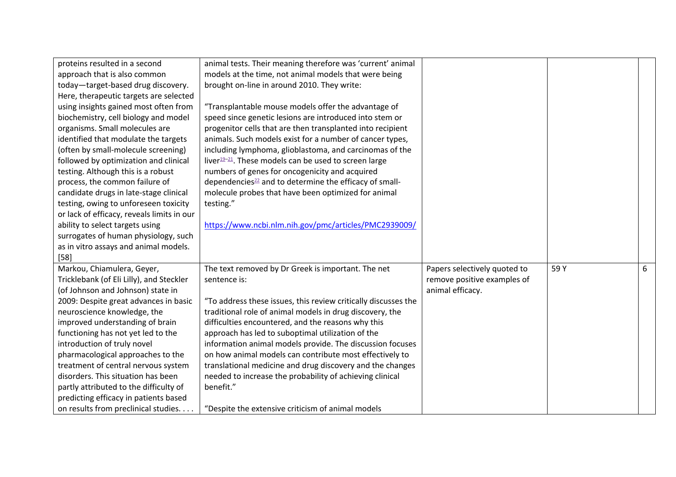| proteins resulted in a second              | animal tests. Their meaning therefore was 'current' animal         |                              |      |   |
|--------------------------------------------|--------------------------------------------------------------------|------------------------------|------|---|
| approach that is also common               | models at the time, not animal models that were being              |                              |      |   |
| today-target-based drug discovery.         | brought on-line in around 2010. They write:                        |                              |      |   |
| Here, therapeutic targets are selected     |                                                                    |                              |      |   |
| using insights gained most often from      | "Transplantable mouse models offer the advantage of                |                              |      |   |
| biochemistry, cell biology and model       | speed since genetic lesions are introduced into stem or            |                              |      |   |
| organisms. Small molecules are             | progenitor cells that are then transplanted into recipient         |                              |      |   |
| identified that modulate the targets       | animals. Such models exist for a number of cancer types,           |                              |      |   |
| (often by small-molecule screening)        | including lymphoma, glioblastoma, and carcinomas of the            |                              |      |   |
| followed by optimization and clinical      | liver $19-21$ . These models can be used to screen large           |                              |      |   |
| testing. Although this is a robust         | numbers of genes for oncogenicity and acquired                     |                              |      |   |
| process, the common failure of             | dependencies <sup>22</sup> and to determine the efficacy of small- |                              |      |   |
| candidate drugs in late-stage clinical     | molecule probes that have been optimized for animal                |                              |      |   |
| testing, owing to unforeseen toxicity      | testing."                                                          |                              |      |   |
| or lack of efficacy, reveals limits in our |                                                                    |                              |      |   |
| ability to select targets using            | https://www.ncbi.nlm.nih.gov/pmc/articles/PMC2939009/              |                              |      |   |
| surrogates of human physiology, such       |                                                                    |                              |      |   |
| as in vitro assays and animal models.      |                                                                    |                              |      |   |
| $[58]$                                     |                                                                    |                              |      |   |
| Markou, Chiamulera, Geyer,                 | The text removed by Dr Greek is important. The net                 | Papers selectively quoted to | 59 Y | 6 |
| Tricklebank (of Eli Lilly), and Steckler   | sentence is:                                                       | remove positive examples of  |      |   |
| (of Johnson and Johnson) state in          |                                                                    | animal efficacy.             |      |   |
| 2009: Despite great advances in basic      | "To address these issues, this review critically discusses the     |                              |      |   |
| neuroscience knowledge, the                | traditional role of animal models in drug discovery, the           |                              |      |   |
| improved understanding of brain            | difficulties encountered, and the reasons why this                 |                              |      |   |
| functioning has not yet led to the         | approach has led to suboptimal utilization of the                  |                              |      |   |
| introduction of truly novel                | information animal models provide. The discussion focuses          |                              |      |   |
| pharmacological approaches to the          | on how animal models can contribute most effectively to            |                              |      |   |
| treatment of central nervous system        | translational medicine and drug discovery and the changes          |                              |      |   |
| disorders. This situation has been         | needed to increase the probability of achieving clinical           |                              |      |   |
| partly attributed to the difficulty of     | benefit."                                                          |                              |      |   |
| predicting efficacy in patients based      |                                                                    |                              |      |   |
| on results from preclinical studies.       | "Despite the extensive criticism of animal models                  |                              |      |   |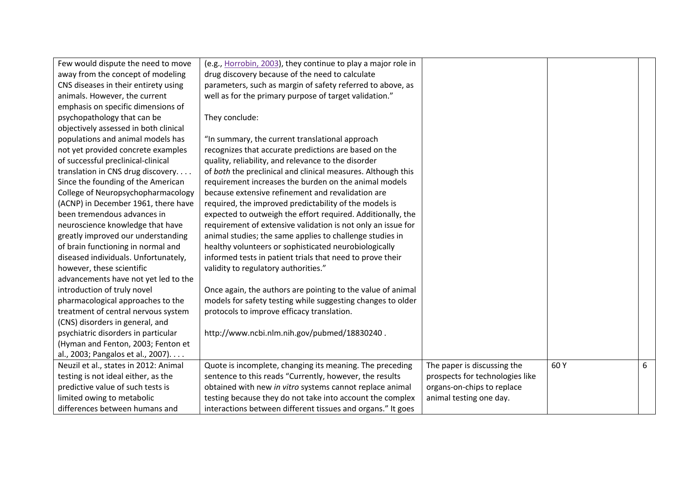| Few would dispute the need to move    | (e.g., Horrobin, 2003), they continue to play a major role in |                                 |     |   |
|---------------------------------------|---------------------------------------------------------------|---------------------------------|-----|---|
| away from the concept of modeling     | drug discovery because of the need to calculate               |                                 |     |   |
| CNS diseases in their entirety using  | parameters, such as margin of safety referred to above, as    |                                 |     |   |
| animals. However, the current         | well as for the primary purpose of target validation."        |                                 |     |   |
| emphasis on specific dimensions of    |                                                               |                                 |     |   |
| psychopathology that can be           | They conclude:                                                |                                 |     |   |
| objectively assessed in both clinical |                                                               |                                 |     |   |
| populations and animal models has     | "In summary, the current translational approach               |                                 |     |   |
| not yet provided concrete examples    | recognizes that accurate predictions are based on the         |                                 |     |   |
| of successful preclinical-clinical    | quality, reliability, and relevance to the disorder           |                                 |     |   |
| translation in CNS drug discovery     | of both the preclinical and clinical measures. Although this  |                                 |     |   |
| Since the founding of the American    | requirement increases the burden on the animal models         |                                 |     |   |
| College of Neuropsychopharmacology    | because extensive refinement and revalidation are             |                                 |     |   |
| (ACNP) in December 1961, there have   | required, the improved predictability of the models is        |                                 |     |   |
| been tremendous advances in           | expected to outweigh the effort required. Additionally, the   |                                 |     |   |
| neuroscience knowledge that have      | requirement of extensive validation is not only an issue for  |                                 |     |   |
| greatly improved our understanding    | animal studies; the same applies to challenge studies in      |                                 |     |   |
| of brain functioning in normal and    | healthy volunteers or sophisticated neurobiologically         |                                 |     |   |
| diseased individuals. Unfortunately,  | informed tests in patient trials that need to prove their     |                                 |     |   |
| however, these scientific             | validity to regulatory authorities."                          |                                 |     |   |
| advancements have not yet led to the  |                                                               |                                 |     |   |
| introduction of truly novel           | Once again, the authors are pointing to the value of animal   |                                 |     |   |
| pharmacological approaches to the     | models for safety testing while suggesting changes to older   |                                 |     |   |
| treatment of central nervous system   | protocols to improve efficacy translation.                    |                                 |     |   |
| (CNS) disorders in general, and       |                                                               |                                 |     |   |
| psychiatric disorders in particular   | http://www.ncbi.nlm.nih.gov/pubmed/18830240.                  |                                 |     |   |
| (Hyman and Fenton, 2003; Fenton et    |                                                               |                                 |     |   |
| al., 2003; Pangalos et al., 2007).    |                                                               |                                 |     |   |
| Neuzil et al., states in 2012: Animal | Quote is incomplete, changing its meaning. The preceding      | The paper is discussing the     | 60Y | 6 |
| testing is not ideal either, as the   | sentence to this reads "Currently, however, the results       | prospects for technologies like |     |   |
| predictive value of such tests is     | obtained with new in vitro systems cannot replace animal      | organs-on-chips to replace      |     |   |
| limited owing to metabolic            | testing because they do not take into account the complex     | animal testing one day.         |     |   |
| differences between humans and        | interactions between different tissues and organs." It goes   |                                 |     |   |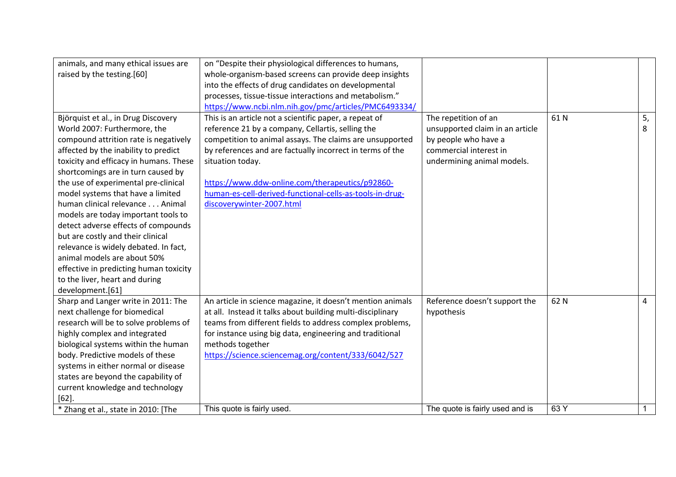| animals, and many ethical issues are   | on "Despite their physiological differences to humans,     |                                 |      |                |
|----------------------------------------|------------------------------------------------------------|---------------------------------|------|----------------|
| raised by the testing.[60]             | whole-organism-based screens can provide deep insights     |                                 |      |                |
|                                        | into the effects of drug candidates on developmental       |                                 |      |                |
|                                        | processes, tissue-tissue interactions and metabolism."     |                                 |      |                |
|                                        | https://www.ncbi.nlm.nih.gov/pmc/articles/PMC6493334/      |                                 |      |                |
| Björquist et al., in Drug Discovery    | This is an article not a scientific paper, a repeat of     | The repetition of an            | 61N  | 5,             |
| World 2007: Furthermore, the           | reference 21 by a company, Cellartis, selling the          | unsupported claim in an article |      | 8              |
| compound attrition rate is negatively  | competition to animal assays. The claims are unsupported   | by people who have a            |      |                |
| affected by the inability to predict   | by references and are factually incorrect in terms of the  | commercial interest in          |      |                |
| toxicity and efficacy in humans. These | situation today.                                           | undermining animal models.      |      |                |
| shortcomings are in turn caused by     |                                                            |                                 |      |                |
| the use of experimental pre-clinical   | https://www.ddw-online.com/therapeutics/p92860-            |                                 |      |                |
| model systems that have a limited      | human-es-cell-derived-functional-cells-as-tools-in-drug-   |                                 |      |                |
| human clinical relevance Animal        | discoverywinter-2007.html                                  |                                 |      |                |
| models are today important tools to    |                                                            |                                 |      |                |
| detect adverse effects of compounds    |                                                            |                                 |      |                |
| but are costly and their clinical      |                                                            |                                 |      |                |
| relevance is widely debated. In fact,  |                                                            |                                 |      |                |
| animal models are about 50%            |                                                            |                                 |      |                |
| effective in predicting human toxicity |                                                            |                                 |      |                |
| to the liver, heart and during         |                                                            |                                 |      |                |
| development.[61]                       |                                                            |                                 |      |                |
| Sharp and Langer write in 2011: The    | An article in science magazine, it doesn't mention animals | Reference doesn't support the   | 62 N | $\overline{4}$ |
| next challenge for biomedical          | at all. Instead it talks about building multi-disciplinary | hypothesis                      |      |                |
| research will be to solve problems of  | teams from different fields to address complex problems,   |                                 |      |                |
| highly complex and integrated          | for instance using big data, engineering and traditional   |                                 |      |                |
| biological systems within the human    | methods together                                           |                                 |      |                |
| body. Predictive models of these       | https://science.sciencemag.org/content/333/6042/527        |                                 |      |                |
| systems in either normal or disease    |                                                            |                                 |      |                |
| states are beyond the capability of    |                                                            |                                 |      |                |
| current knowledge and technology       |                                                            |                                 |      |                |
| $[62]$                                 |                                                            |                                 |      |                |
| * Zhang et al., state in 2010: [The    | This quote is fairly used.                                 | The quote is fairly used and is | 63 Y |                |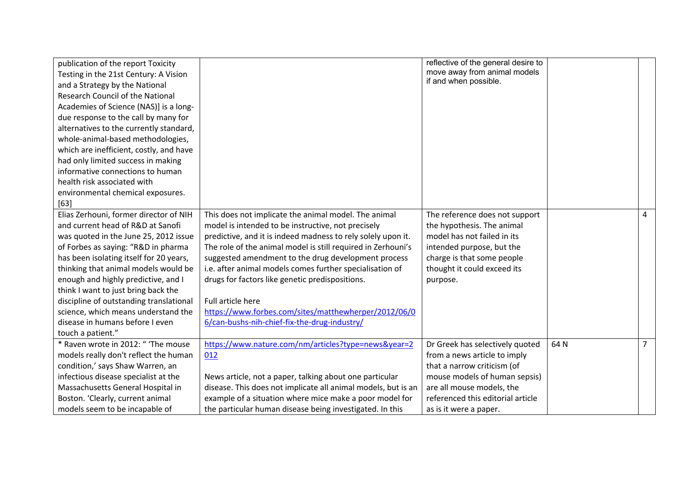| publication of the report Toxicity      |                                                               | reflective of the general desire to |      |                |
|-----------------------------------------|---------------------------------------------------------------|-------------------------------------|------|----------------|
| Testing in the 21st Century: A Vision   |                                                               | move away from animal models        |      |                |
| and a Strategy by the National          |                                                               | if and when possible.               |      |                |
| Research Council of the National        |                                                               |                                     |      |                |
| Academies of Science (NAS)] is a long-  |                                                               |                                     |      |                |
| due response to the call by many for    |                                                               |                                     |      |                |
| alternatives to the currently standard, |                                                               |                                     |      |                |
| whole-animal-based methodologies,       |                                                               |                                     |      |                |
| which are inefficient, costly, and have |                                                               |                                     |      |                |
| had only limited success in making      |                                                               |                                     |      |                |
| informative connections to human        |                                                               |                                     |      |                |
| health risk associated with             |                                                               |                                     |      |                |
| environmental chemical exposures.       |                                                               |                                     |      |                |
| $[63]$                                  |                                                               |                                     |      |                |
| Elias Zerhouni, former director of NIH  | This does not implicate the animal model. The animal          | The reference does not support      |      | 4              |
| and current head of R&D at Sanofi       | model is intended to be instructive, not precisely            | the hypothesis. The animal          |      |                |
| was quoted in the June 25, 2012 issue   | predictive, and it is indeed madness to rely solely upon it.  | model has not failed in its         |      |                |
| of Forbes as saying: "R&D in pharma     | The role of the animal model is still required in Zerhouni's  | intended purpose, but the           |      |                |
| has been isolating itself for 20 years, | suggested amendment to the drug development process           | charge is that some people          |      |                |
| thinking that animal models would be    | i.e. after animal models comes further specialisation of      | thought it could exceed its         |      |                |
| enough and highly predictive, and I     | drugs for factors like genetic predispositions.               | purpose.                            |      |                |
| think I want to just bring back the     |                                                               |                                     |      |                |
| discipline of outstanding translational | <b>Full article here</b>                                      |                                     |      |                |
| science, which means understand the     | https://www.forbes.com/sites/matthewherper/2012/06/0          |                                     |      |                |
| disease in humans before I even         | 6/can-bushs-nih-chief-fix-the-drug-industry/                  |                                     |      |                |
| touch a patient."                       |                                                               |                                     |      |                |
| * Raven wrote in 2012: " 'The mouse     | https://www.nature.com/nm/articles?type=news&year=2           | Dr Greek has selectively quoted     | 64 N | 7 <sup>7</sup> |
| models really don't reflect the human   | 012                                                           | from a news article to imply        |      |                |
| condition,' says Shaw Warren, an        |                                                               | that a narrow criticism (of         |      |                |
| infectious disease specialist at the    | News article, not a paper, talking about one particular       | mouse models of human sepsis)       |      |                |
| Massachusetts General Hospital in       | disease. This does not implicate all animal models, but is an | are all mouse models, the           |      |                |
| Boston. 'Clearly, current animal        | example of a situation where mice make a poor model for       | referenced this editorial article   |      |                |
| models seem to be incapable of          | the particular human disease being investigated. In this      | as is it were a paper.              |      |                |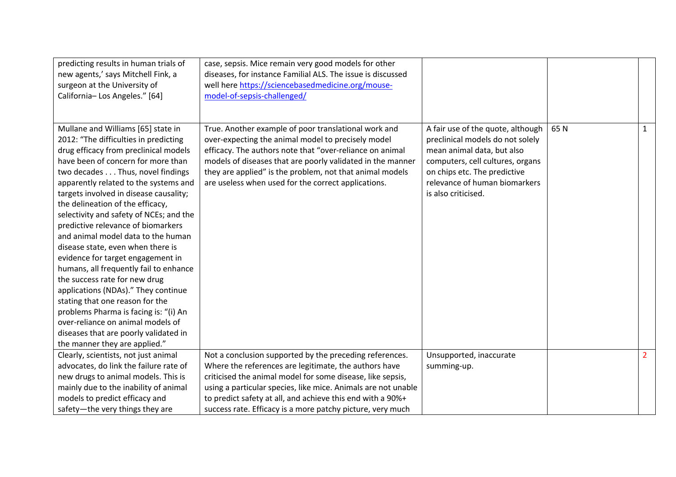| predicting results in human trials of<br>new agents,' says Mitchell Fink, a<br>surgeon at the University of<br>California-Los Angeles." [64]                                                                                                                                                                                                                                                                                                                                                                                                                                                                                                                                                                                                                                                                                        | case, sepsis. Mice remain very good models for other<br>diseases, for instance Familial ALS. The issue is discussed<br>well here https://sciencebasedmedicine.org/mouse-<br>model-of-sepsis-challenged/                                                                                                                                                 |                                                                                                                                                                                                                                 |     |                |
|-------------------------------------------------------------------------------------------------------------------------------------------------------------------------------------------------------------------------------------------------------------------------------------------------------------------------------------------------------------------------------------------------------------------------------------------------------------------------------------------------------------------------------------------------------------------------------------------------------------------------------------------------------------------------------------------------------------------------------------------------------------------------------------------------------------------------------------|---------------------------------------------------------------------------------------------------------------------------------------------------------------------------------------------------------------------------------------------------------------------------------------------------------------------------------------------------------|---------------------------------------------------------------------------------------------------------------------------------------------------------------------------------------------------------------------------------|-----|----------------|
| Mullane and Williams [65] state in<br>2012: "The difficulties in predicting<br>drug efficacy from preclinical models<br>have been of concern for more than<br>two decades Thus, novel findings<br>apparently related to the systems and<br>targets involved in disease causality;<br>the delineation of the efficacy,<br>selectivity and safety of NCEs; and the<br>predictive relevance of biomarkers<br>and animal model data to the human<br>disease state, even when there is<br>evidence for target engagement in<br>humans, all frequently fail to enhance<br>the success rate for new drug<br>applications (NDAs)." They continue<br>stating that one reason for the<br>problems Pharma is facing is: "(i) An<br>over-reliance on animal models of<br>diseases that are poorly validated in<br>the manner they are applied." | True. Another example of poor translational work and<br>over-expecting the animal model to precisely model<br>efficacy. The authors note that "over-reliance on animal<br>models of diseases that are poorly validated in the manner<br>they are applied" is the problem, not that animal models<br>are useless when used for the correct applications. | A fair use of the quote, although<br>preclinical models do not solely<br>mean animal data, but also<br>computers, cell cultures, organs<br>on chips etc. The predictive<br>relevance of human biomarkers<br>is also criticised. | 65N | $\mathbf{1}$   |
| Clearly, scientists, not just animal                                                                                                                                                                                                                                                                                                                                                                                                                                                                                                                                                                                                                                                                                                                                                                                                | Not a conclusion supported by the preceding references.                                                                                                                                                                                                                                                                                                 | Unsupported, inaccurate                                                                                                                                                                                                         |     | $\overline{2}$ |
| advocates, do link the failure rate of<br>new drugs to animal models. This is                                                                                                                                                                                                                                                                                                                                                                                                                                                                                                                                                                                                                                                                                                                                                       | Where the references are legitimate, the authors have<br>criticised the animal model for some disease, like sepsis,                                                                                                                                                                                                                                     | summing-up.                                                                                                                                                                                                                     |     |                |
| mainly due to the inability of animal                                                                                                                                                                                                                                                                                                                                                                                                                                                                                                                                                                                                                                                                                                                                                                                               | using a particular species, like mice. Animals are not unable                                                                                                                                                                                                                                                                                           |                                                                                                                                                                                                                                 |     |                |
| models to predict efficacy and                                                                                                                                                                                                                                                                                                                                                                                                                                                                                                                                                                                                                                                                                                                                                                                                      | to predict safety at all, and achieve this end with a 90%+                                                                                                                                                                                                                                                                                              |                                                                                                                                                                                                                                 |     |                |
| safety-the very things they are                                                                                                                                                                                                                                                                                                                                                                                                                                                                                                                                                                                                                                                                                                                                                                                                     | success rate. Efficacy is a more patchy picture, very much                                                                                                                                                                                                                                                                                              |                                                                                                                                                                                                                                 |     |                |